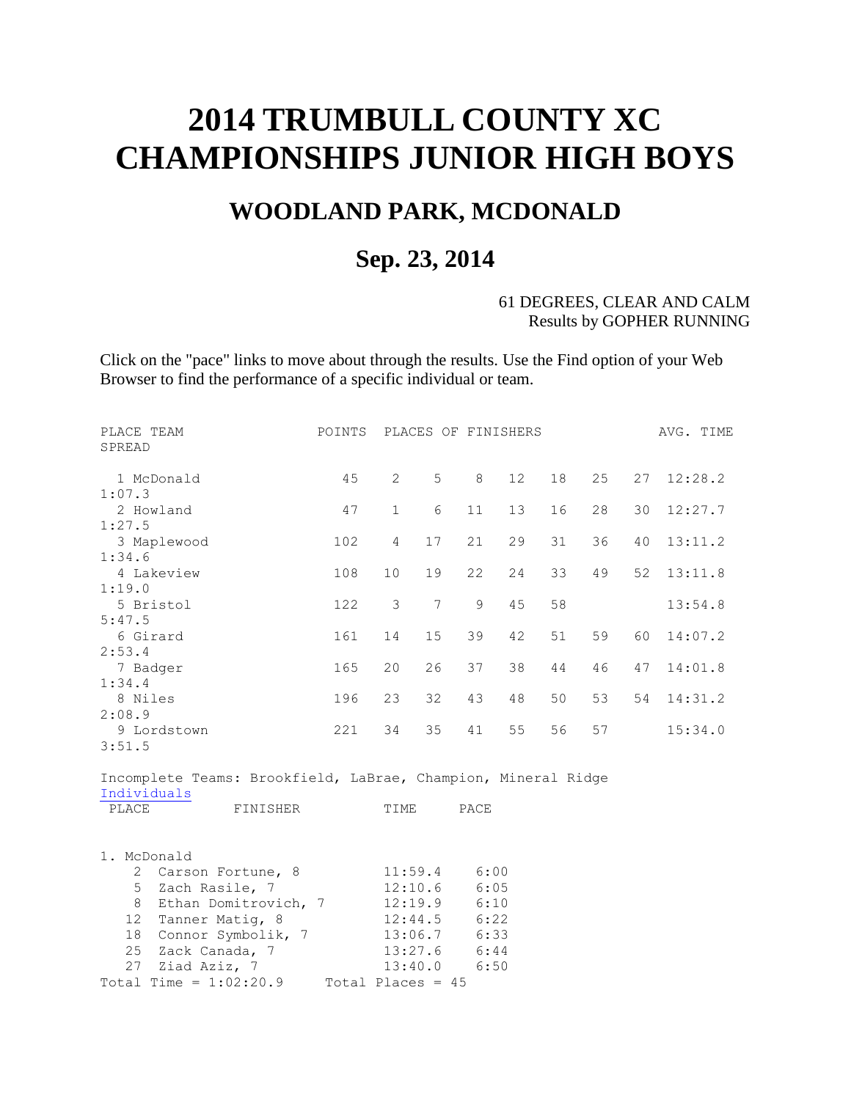# **2014 TRUMBULL COUNTY XC CHAMPIONSHIPS JUNIOR HIGH BOYS**

## **WOODLAND PARK, MCDONALD**

### **Sep. 23, 2014**

#### 61 DEGREES, CLEAR AND CALM Results by GOPHER RUNNING

Click on the "pace" links to move about through the results. Use the Find option of your Web Browser to find the performance of a specific individual or team.

| PLACE TEAM<br>SPREAD                                                         | POINTS              |                |                    | PLACES OF FINISHERS |                 |    |    |    | AVG. TIME |
|------------------------------------------------------------------------------|---------------------|----------------|--------------------|---------------------|-----------------|----|----|----|-----------|
| 1 McDonald<br>1:07.3                                                         | 45                  | $\overline{2}$ | 5                  | 8                   | 12 <sup>°</sup> | 18 | 25 | 27 | 12:28.2   |
| 2 Howland                                                                    | 47                  | $\mathbf{1}$   | 6                  | 11                  | 13              | 16 | 28 | 30 | 12:27.7   |
| 1:27.5<br>3 Maplewood                                                        | 102                 | $\overline{4}$ | 17                 | 21                  | 29              | 31 | 36 | 40 | 13:11.2   |
| 1:34.6                                                                       |                     |                |                    |                     |                 |    |    |    |           |
| 4 Lakeview                                                                   | 108                 | 10             | 19                 | 22                  | 24              | 33 | 49 | 52 | 13:11.8   |
| 1:19.0<br>5 Bristol                                                          | 122                 | 3              | 7                  | $\mathsf 9$         | 45              | 58 |    |    |           |
| 5:47.5                                                                       |                     |                |                    |                     |                 |    |    |    | 13:54.8   |
| 6 Girard                                                                     | 161                 | 14             | 15                 | 39                  | 42              | 51 | 59 | 60 | 14:07.2   |
| 2:53.4                                                                       |                     |                |                    |                     |                 |    |    |    |           |
| 7 Badger<br>1:34.4                                                           | 165                 | 20             | 26                 | 37                  | 38              | 44 | 46 | 47 | 14:01.8   |
| 8 Niles                                                                      | 196                 | 23             | 32                 | 43                  | 48              | 50 | 53 | 54 | 14:31.2   |
| 2:08.9                                                                       |                     |                |                    |                     |                 |    |    |    |           |
| 9 Lordstown<br>3:51.5                                                        | 221                 | 34             | 35                 | 41                  | 55              | 56 | 57 |    | 15:34.0   |
|                                                                              |                     |                |                    |                     |                 |    |    |    |           |
| Incomplete Teams: Brookfield, LaBrae, Champion, Mineral Ridge<br>Individuals |                     |                |                    |                     |                 |    |    |    |           |
| PLACE<br>FINISHER                                                            |                     | TIME           |                    | PACE                |                 |    |    |    |           |
| 1. McDonald                                                                  |                     |                |                    |                     |                 |    |    |    |           |
| 2 Carson Fortune, 8                                                          |                     |                | 11:59.4            | 6:00                |                 |    |    |    |           |
| 5<br>Zach Rasile, 7<br>Ethan Domitrovich, 7<br>8                             |                     |                | 12:10.6<br>12:19.9 | 6:05<br>6:10        |                 |    |    |    |           |
| 12 Tanner Matig, 8                                                           |                     |                | 12:44.5            | 6:22                |                 |    |    |    |           |
| Connor Symbolik, 7<br>18                                                     |                     |                | 13:06.7            | 6:33                |                 |    |    |    |           |
| 25 Zack Canada, 7                                                            |                     |                | 13:27.6<br>6:44    |                     |                 |    |    |    |           |
| 27 Ziad Aziz, 7<br>Total Time = $1:02:20.9$                                  | Total Places = $45$ | 13:40.0        |                    | 6:50                |                 |    |    |    |           |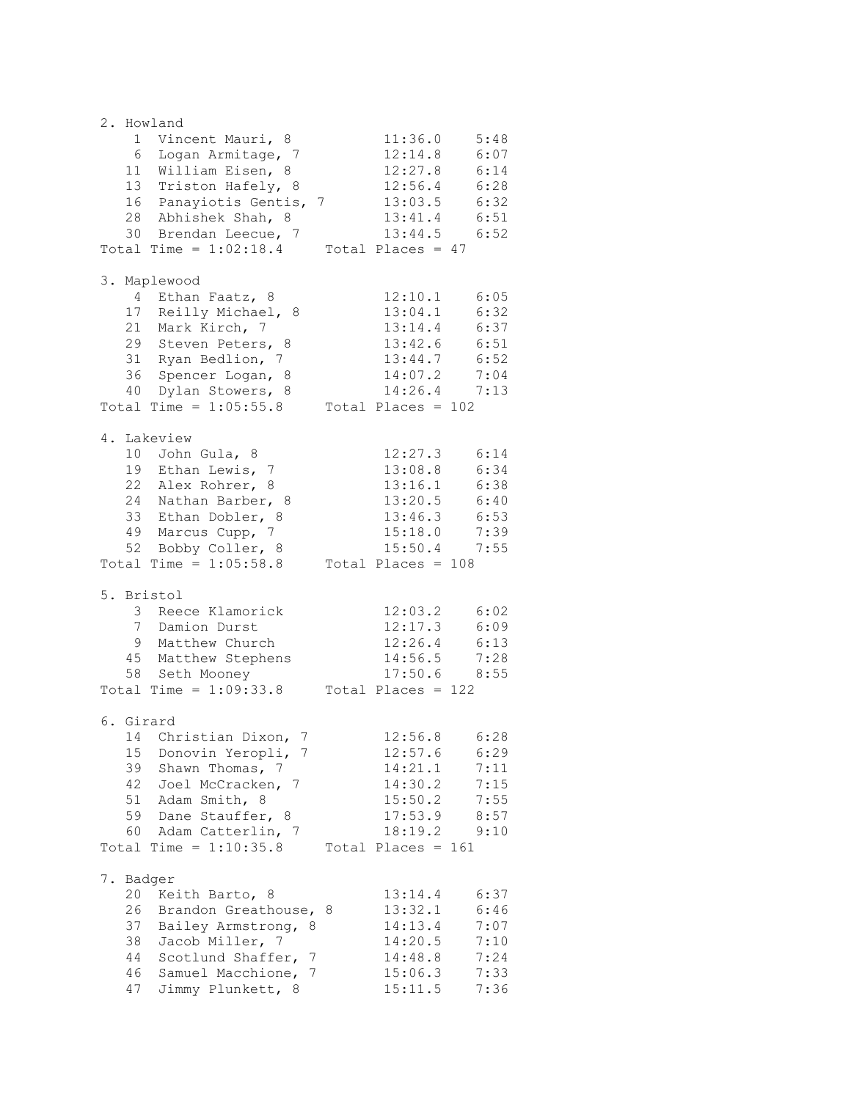2. Howland 1 Vincent Mauri, 8 11:36.0 5:48 6 Logan Armitage, 7 12:14.8 6:07 11 William Eisen, 8 12:27.8 6:14 13 Triston Hafely, 8 12:56.4 6:28 16 Panayiotis Gentis, 7 13:03.5 6:32 28 Abhishek Shah, 8 13:41.4 6:51 30 Brendan Leecue, 7 13:44.5 6:52 Total Time =  $1:02:18.4$  Total Places =  $47$ 3. Maplewood 4 Ethan Faatz, 8 12:10.1 6:05 17 Reilly Michael, 8 13:04.1 6:32 21 Mark Kirch, 7 13:14.4 6:37 29 Steven Peters, 8 13:42.6 6:51 31 Ryan Bedlion, 7 13:44.7 6:52 36 Spencer Logan, 8 14:07.2 7:04 40 Dylan Stowers, 8 14:26.4 7:13 Total Time =  $1:05:55.8$  Total Places =  $102$ 4. Lakeview 10 John Gula, 8 12:27.3 6:14 19 Ethan Lewis, 7 13:08.8 6:34 22 Alex Rohrer, 8 13:16.1 6:38 24 Nathan Barber, 8 13:20.5 6:40 33 Ethan Dobler, 8 13:46.3 6:53 49 Marcus Cupp, 7 15:18.0 7:39 52 Bobby Coller, 8 15:50.4 7:55 Total Time =  $1:05:58.8$  Total Places = 108 5. Bristol 3 Reece Klamorick 12:03.2 6:02 7 Damion Durst 12:17.3 6:09 9 Matthew Church 12:26.4 6:13 45 Matthew Stephens 14:56.5 7:28 58 Seth Mooney 17:50.6 8:55 Total Time =  $1:09:33.8$  Total Places =  $122$ 6. Girard 14 Christian Dixon, 7 12:56.8 6:28 15 Donovin Yeropli, 7 12:57.6 6:29 39 Shawn Thomas, 7 14:21.1 7:11 42 Joel McCracken, 7 14:30.2 7:15 51 Adam Smith, 8 15:50.2 7:55 59 Dane Stauffer, 8 17:53.9 8:57 60 Adam Catterlin, 7 18:19.2 9:10 Total Time =  $1:10:35.8$  Total Places = 161 7. Badger 20 Keith Barto, 8 13:14.4 6:37 26 Brandon Greathouse, 8 13:32.1 6:46 37 Bailey Armstrong, 8 14:13.4 7:07 38 Jacob Miller, 7 14:20.5 7:10 44 Scotlund Shaffer, 7 14:48.8 7:24 46 Samuel Macchione, 7 15:06.3 7:33 47 Jimmy Plunkett, 8 15:11.5 7:36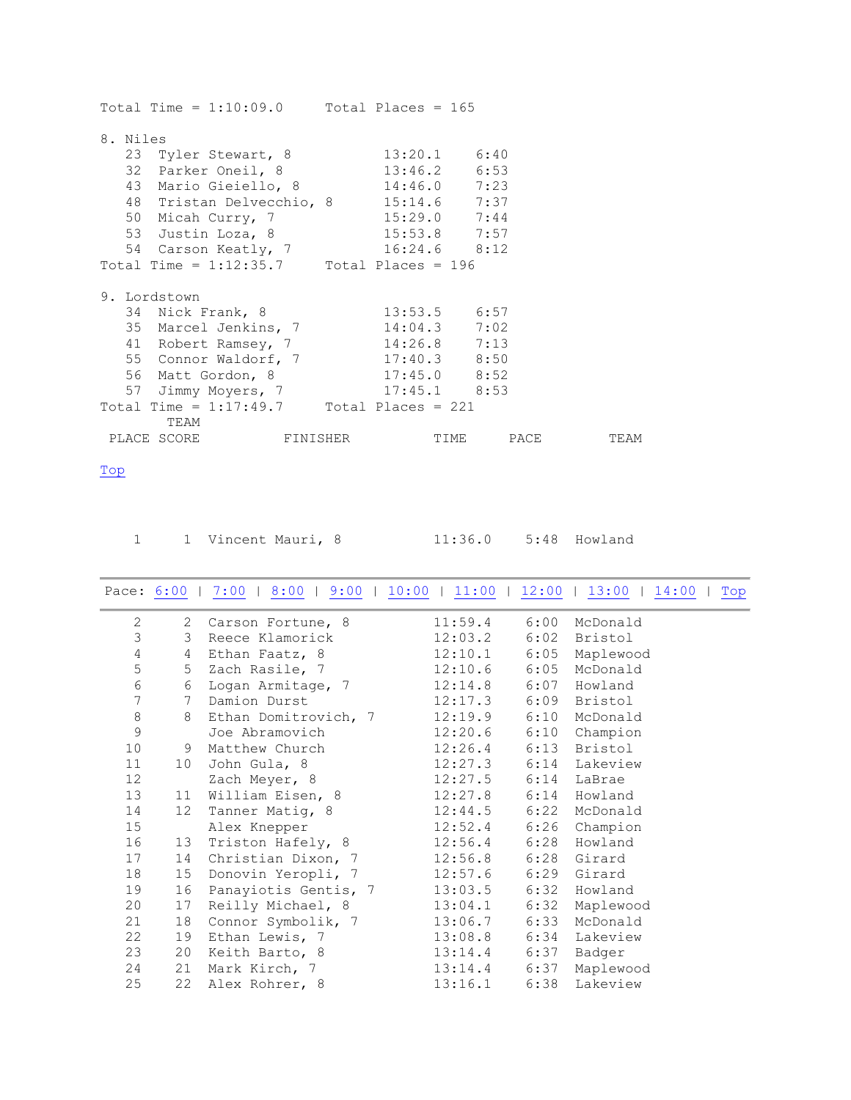| Total Time = $1:10:09.0$ Total Places = 165 |                |      |
|---------------------------------------------|----------------|------|
| 8. Niles                                    |                |      |
| 23 Tyler Stewart, 8 13:20.1 6:40            |                |      |
| 32 Parker Oneil, 8 13:46.2 6:53             |                |      |
| 43 Mario Gieiello, 8 14:46.0 7:23           |                |      |
|                                             |                |      |
| 48 Tristan Delvecchio, 8 15:14.6 7:37       |                |      |
| 50 Micah Curry, 7 15:29.0 7:44              |                |      |
| 53 Justin Loza, 8 15:53.8 7:57              |                |      |
| 54 Carson Keatly, 7 16:24.6 8:12            |                |      |
| Total Time = $1:12:35.7$ Total Places = 196 |                |      |
|                                             |                |      |
| 9. Lordstown                                |                |      |
| 34 Nick Frank, 8                            | $13:53.5$ 6:57 |      |
| 35 Marcel Jenkins, 7 14:04.3 7:02           |                |      |
| 41 Robert Ramsey, 7 14:26.8 7:13            |                |      |
| 55 Connor Waldorf, 7 17:40.3 8:50           |                |      |
| 56 Matt Gordon, 8 17:45.0 8:52              |                |      |
| 57 Jimmy Moyers, 7 17:45.1 8:53             |                |      |
| Total Time = $1:17:49.7$ Total Places = 221 |                |      |
| TEAM                                        |                |      |
|                                             |                | TEAM |

<span id="page-2-0"></span>Top

1 1 Vincent Mauri, 8 11:36.0 5:48 Howland

#### <span id="page-2-1"></span>Pace:  $\underline{6:00}$  | [7:00](#page-3-0) | [8:00](#page-3-1) | [9:00](#page-4-0) | [10:00](#page-4-1) | 11:00 | 12:00 | 13:00 | [14:00](#page-4-2) | Top

| $\mathbf{2}$    | 2               | Carson Fortune, 8    | 11:59.4          | 6:00 | McDonald                  |  |
|-----------------|-----------------|----------------------|------------------|------|---------------------------|--|
| 3               | 3               | Reece Klamorick      | 12:03.2          | 6:02 | Bristol                   |  |
| 4               | $4\overline{ }$ | Ethan Faatz, 8       | 12:10.1          | 6:05 | Maplewood                 |  |
| 5               | 5 <sup>5</sup>  | Zach Rasile, 7       | 12:10.6          | 6:05 | McDonald                  |  |
| 6               | 6               | Logan Armitage, 7    | 12:14.8          | 6:07 | Howland                   |  |
| $\overline{7}$  | $7^{\circ}$     | Damion Durst         | 12:17.3          | 6:09 | Bristol                   |  |
| $\,8\,$         | 8               | Ethan Domitrovich, 7 | 12:19.9          | 6:10 | McDonald                  |  |
| 9               |                 | Joe Abramovich       | $12:20.6$ 6:10   |      | Champion                  |  |
| 10 <sup>°</sup> | 9               | Matthew Church       | 12:26.4          | 6:13 | Bristol                   |  |
| 11              | 10              | John Gula, 8         |                  |      | $12:27.3$ $6:14$ Lakeview |  |
| 12 <sup>°</sup> |                 | Zach Meyer, 8        | 12:27.5          | 6:14 | LaBrae                    |  |
| 13              | 11              | William Eisen, 8     | $12:27.8$ 6:14   |      | Howland                   |  |
| 14              | 12              | Tanner Matig, 8      | 12:44.5          | 6:22 | McDonald                  |  |
| 15              |                 | Alex Knepper         | 12:52.4          | 6:26 | Champion                  |  |
| 16              | 13              | Triston Hafely, 8    | 12:56.4          | 6:28 | Howland                   |  |
| 17              | 14              | Christian Dixon, 7   | $12:56.8$ $6:28$ |      | Girard                    |  |
| 18              | 15              | Donovin Yeropli, 7   | 12:57.6          | 6:29 | Girard                    |  |
| 19              | 16              | Panayiotis Gentis, 7 | $13:03.5$ 6:32   |      | Howland                   |  |
| 20              | 17              | Reilly Michael, 8    | 13:04.1          | 6:32 | Maplewood                 |  |
| 21              | 18              | Connor Symbolik, 7   | $13:06.7$ 6:33   |      | McDonald                  |  |
| 22              | 19              | Ethan Lewis, 7       | $13:08.8$ 6:34   |      | Lakeview                  |  |
| 23              | 20              | Keith Barto, 8       | $13:14.4$ 6:37   |      | Badger                    |  |
| 24              | 21              | Mark Kirch, 7        | $13:14.4$ 6:37   |      | Maplewood                 |  |
| 25              | 22              | Alex Rohrer, 8       | 13:16.1          | 6:38 | Lakeview                  |  |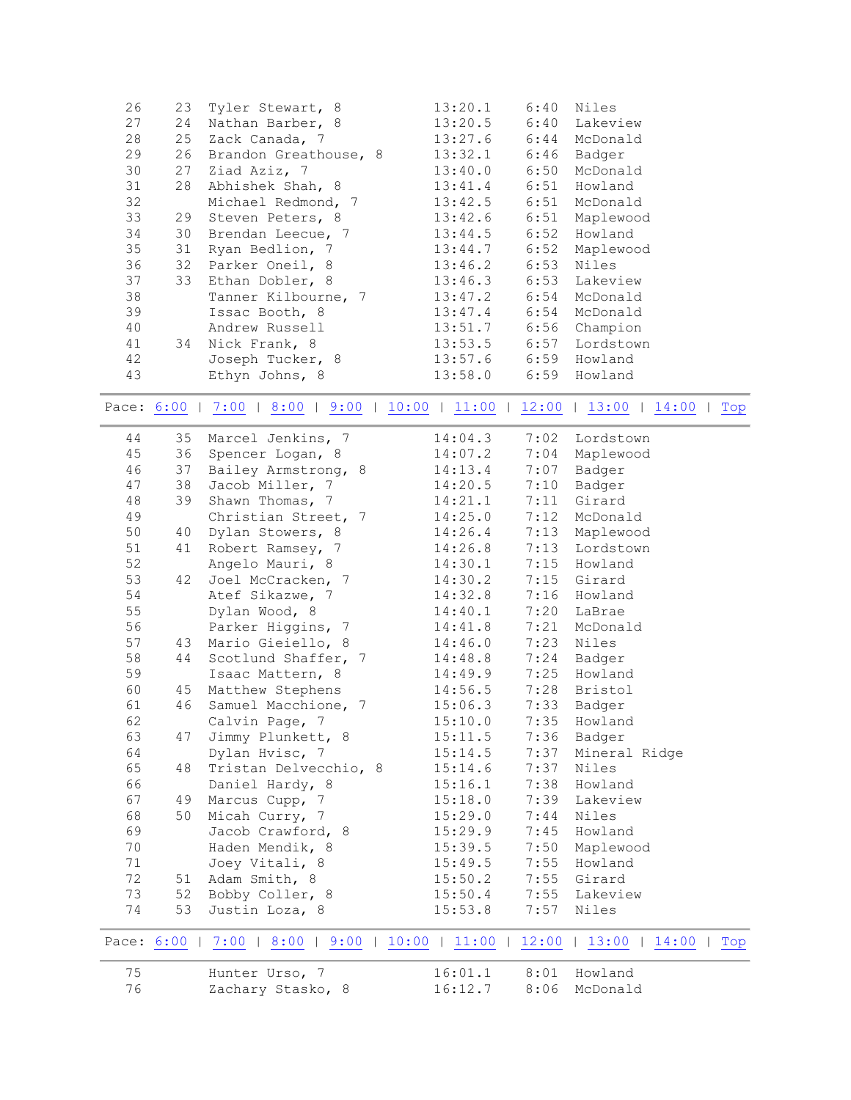<span id="page-3-1"></span><span id="page-3-0"></span>

| 27 | 24 | Nathan Barber, 8                                                              | 13:20.5 | 6:40 | Lakeview      |
|----|----|-------------------------------------------------------------------------------|---------|------|---------------|
| 28 | 25 | Zack Canada, 7                                                                | 13:27.6 | 6:44 | McDonald      |
| 29 | 26 | Brandon Greathouse, 8                                                         | 13:32.1 | 6:46 | Badger        |
| 30 | 27 | Ziad Aziz, 7                                                                  | 13:40.0 | 6:50 | McDonald      |
| 31 | 28 | Abhishek Shah, 8                                                              | 13:41.4 | 6:51 | Howland       |
| 32 |    | Michael Redmond, 7                                                            | 13:42.5 | 6:51 | McDonald      |
| 33 | 29 | Steven Peters, 8                                                              | 13:42.6 | 6:51 | Maplewood     |
| 34 | 30 | Brendan Leecue, 7                                                             | 13:44.5 | 6:52 | Howland       |
| 35 | 31 | Ryan Bedlion, 7                                                               | 13:44.7 | 6:52 | Maplewood     |
| 36 | 32 | Parker Oneil, 8                                                               | 13:46.2 | 6:53 | Niles         |
| 37 | 33 | Ethan Dobler, 8                                                               | 13:46.3 | 6:53 | Lakeview      |
| 38 |    | Tanner Kilbourne, 7                                                           | 13:47.2 | 6:54 | McDonald      |
| 39 |    | Issac Booth, 8                                                                | 13:47.4 | 6:54 | McDonald      |
| 40 |    | Andrew Russell                                                                | 13:51.7 | 6:56 | Champion      |
| 41 | 34 | Nick Frank, 8                                                                 | 13:53.5 | 6:57 | Lordstown     |
| 42 |    | Joseph Tucker, 8                                                              | 13:57.6 | 6:59 | Howland       |
| 43 |    | Ethyn Johns, 8                                                                | 13:58.0 |      | 6:59 Howland  |
|    |    |                                                                               |         |      |               |
|    |    | Pace: 6:00   7:00   8:00   9:00   10:00   11:00   12:00   13:00               |         |      | 14:00<br>Top  |
| 44 | 35 | Marcel Jenkins, 7                                                             | 14:04.3 | 7:02 | Lordstown     |
| 45 | 36 | Spencer Logan, 8                                                              | 14:07.2 | 7:04 | Maplewood     |
| 46 | 37 | Bailey Armstrong, 8                                                           | 14:13.4 | 7:07 | Badger        |
| 47 | 38 | Jacob Miller, 7                                                               | 14:20.5 | 7:10 | Badger        |
| 48 | 39 | Shawn Thomas, 7                                                               | 14:21.1 | 7:11 | Girard        |
| 49 |    | Christian Street, 7                                                           | 14:25.0 | 7:12 | McDonald      |
| 50 | 40 | Dylan Stowers, 8                                                              | 14:26.4 | 7:13 | Maplewood     |
| 51 | 41 | Robert Ramsey, 7                                                              | 14:26.8 | 7:13 | Lordstown     |
| 52 |    | Angelo Mauri, 8                                                               | 14:30.1 | 7:15 | Howland       |
| 53 | 42 | Joel McCracken, 7                                                             | 14:30.2 | 7:15 | Girard        |
| 54 |    | Atef Sikazwe, 7                                                               | 14:32.8 | 7:16 | Howland       |
| 55 |    | Dylan Wood, 8                                                                 | 14:40.1 | 7:20 | LaBrae        |
| 56 |    | Parker Higgins, 7                                                             | 14:41.8 | 7:21 | McDonald      |
| 57 | 43 | Mario Gieiello, 8                                                             | 14:46.0 | 7:23 | Niles         |
| 58 | 44 | Scotlund Shaffer, 7                                                           | 14:48.8 | 7:24 | Badger        |
| 59 |    | Isaac Mattern, 8                                                              | 14:49.9 | 7:25 | Howland       |
| 60 | 45 | Matthew Stephens                                                              | 14:56.5 | 7:28 | Bristol       |
| 61 | 46 | Samuel Macchione, 7                                                           | 15:06.3 | 7:33 | Badger        |
| 62 |    | Calvin Page, 7                                                                | 15:10.0 | 7:35 | Howland       |
| 63 | 47 | Jimmy Plunkett, 8                                                             | 15:11.5 |      | 7:36 Badger   |
| 64 |    | Dylan Hvisc, 7                                                                | 15:14.5 | 7:37 | Mineral Ridge |
| 65 | 48 | Tristan Delvecchio, 8                                                         | 15:14.6 | 7:37 | Niles         |
| 66 |    | Daniel Hardy, 8                                                               | 15:16.1 | 7:38 | Howland       |
| 67 | 49 | Marcus Cupp, 7                                                                | 15:18.0 | 7:39 | Lakeview      |
| 68 | 50 | Micah Curry, 7                                                                | 15:29.0 | 7:44 | Niles         |
| 69 |    | Jacob Crawford, 8                                                             | 15:29.9 | 7:45 | Howland       |
| 70 |    | Haden Mendik, 8                                                               | 15:39.5 | 7:50 | Maplewood     |
| 71 |    | Joey Vitali, 8                                                                | 15:49.5 | 7:55 | Howland       |
| 72 |    | 51 Adam Smith, 8                                                              | 15:50.2 | 7:55 | Girard        |
| 73 | 52 | Bobby Coller, 8                                                               | 15:50.4 | 7:55 | Lakeview      |
| 74 |    |                                                                               | 15:53.8 |      |               |
|    | 53 | Justin Loza, 8                                                                |         | 7:57 | Niles         |
|    |    | Pace: 6:00   7:00   8:00   9:00   10:00   11:00   12:00   13:00   14:00   Top |         |      |               |
| 75 |    | Hunter Urso, 7                                                                | 16:01.1 | 8:01 | Howland       |
| 76 |    | Zachary Stasko, 8                                                             | 16:12.7 | 8:06 | McDonald      |
|    |    |                                                                               |         |      |               |

26 23 Tyler Stewart, 8 13:20.1 6:40 Niles